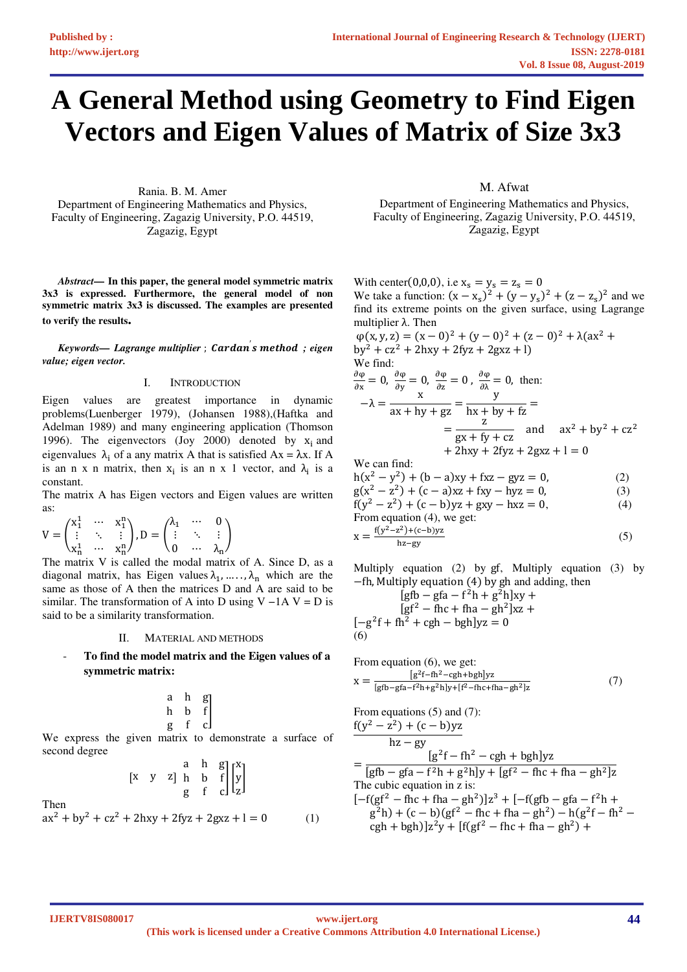# **A General Method using Geometry to Find Eigen Vectors and Eigen Values of Matrix of Size 3x3**

Rania. B. M. Amer Department of Engineering Mathematics and Physics, Faculty of Engineering, Zagazig University, P.O. 44519, Zagazig, Egypt

*Abstract***— In this paper, the general model symmetric matrix 3x3 is expressed. Furthermore, the general model of non symmetric matrix 3x3 is discussed. The examples are presented to verify the results.**

*Keywords— Lagrange multiplier* ; ′ 
 *; eigen value; eigen vector.* 

### I. INTRODUCTION

Eigen values are greatest importance in dynamic problems(Luenberger 1979), (Johansen 1988),(Haftka and Adelman 1989) and many engineering application (Thomson 1996). The eigenvectors (Joy 2000) denoted by  $x_i$  and eigenvalues  $\lambda_i$  of a any matrix A that is satisfied  $Ax = \lambda x$ . If A is an n x n matrix, then  $x_i$  is an n x 1 vector, and  $\lambda_i$  is a constant.

The matrix A has Eigen vectors and Eigen values are written as:

$$
V = \begin{pmatrix} x_1^1 & \cdots & x_1^n \\ \vdots & \ddots & \vdots \\ x_n^1 & \cdots & x_n^n \end{pmatrix}, D = \begin{pmatrix} \lambda_1 & \cdots & 0 \\ \vdots & \ddots & \vdots \\ 0 & \cdots & \lambda_n \end{pmatrix}
$$

The matrix V is called the modal matrix of A. Since D, as a diagonal matrix, has Eigen values  $\lambda_1, \dots, \lambda_n$  which are the same as those of A then the matrices D and A are said to be similar. The transformation of A into D using V  $-1A$  V = D is said to be a similarity transformation.

#### II. MATERIAL AND METHODS

- **To find the model matrix and the Eigen values of a symmetric matrix:** 

$$
\begin{array}{ccc}a&h&g\\h&b&f\\g&f&c\end{array}\hspace{0.25cm}\Bigg]
$$

We express the given matrix to demonstrate a surface of second degree

$$
\begin{bmatrix} x & y & z \end{bmatrix} \begin{bmatrix} a & h & g \\ h & b & f \\ g & f & c \end{bmatrix} \begin{bmatrix} x \\ y \\ z \end{bmatrix}
$$

Then

$$
ax2 + by2 + cz2 + 2hxy + 2fyz + 2gxz + l = 0
$$
 (1)

## M. Afwat

Department of Engineering Mathematics and Physics, Faculty of Engineering, Zagazig University, P.O. 44519, Zagazig, Egypt

With center(0,0,0), i.e  $x_s = y_s = z_s = 0$ We take a function:  $(x - x_s)^2 + (y - y_s)^2 + (z - z_s)^2$  and we [find its ext](#page--1-0)r[eme points on t](#page--1-1)[he given surface, using Lagr](#page--1-2)ange [multiplier](#page--1-3) λ. Then

$$
\varphi(x, y, z) = (x - 0)^2 + (y - 0)^2 + (z - 0)^2 + \lambda(ax^2 + by^2 + cz^2 + 2hxy + 2fyz + 2gxz + 1)
$$
  
We find:

$$
\frac{\partial \varphi}{\partial x} = 0, \frac{\partial \varphi}{\partial y} = 0, \frac{\partial \varphi}{\partial z} = 0, \text{ then:}
$$
  

$$
-\lambda = \frac{x}{ax + hy + gz} = \frac{y}{hx + by + fz} = \frac{z}{gx + fy + cz} \text{ and } ax^2 + by^2 + cz^2 + 2hxy + 2fyz + 2gxz + 1 = 0
$$

We can find:

$$
h(x2 - y2) + (b - a)xy + fxz - gyz = 0,
$$
 (2)  
g(x<sup>2</sup> - z<sup>2</sup>) + (c - a)xz + fxy - hyz = 0, (3)  
f(y<sup>2</sup> - z<sup>2</sup>) + (c - b)yz + gxy - hxz = 0, (4)  
From equation (4), we get:

$$
x = \frac{f(y^2 - z^2) + (c - b)yz}{hz - gy}
$$
 (5)

Multiply equation (2) by gf, Multiply equation (3) by −fh, Multiply equation (4) by gh and adding, then

$$
[gfb - gfa - f2h + g2h]xy +[gf2 - fhc + fha - gh2]xz +[-g2f + fh2 + cgh - bgh]yz = 0
$$
  
(6)

From equation (6), we get:  
\n
$$
x = \frac{[g^2f - fh^2 - cgh + bgh]yz}{[gfb - gfa - f^2h + g^2h]y + [f^2 - fhc + fha - gh^2]z}
$$
\n(7)

From equations (5) and (7):  $f(y^2 - z^2) + (c - b)yz$ hz − gy  $=\frac{[g^2f - fh^2 - cgh + bgh]yz}{[g^2f - fh^2 - cgh + bgh]}$  $[gfb - gfa - f^2h + g^2h]y + [gf^2 - fhc + fha - gh^2]z$ 

The cubic equation in z is:  $[-f(gf^2 - fhc + fha - gh^2)]z^3 + [-f(gfb - gfa - f^2h +$  $g^2h$ ) + (c – b)(gf<sup>2</sup> – fhc + fha – gh<sup>2</sup>) – h(g<sup>2</sup>f – fh<sup>2</sup> –  $\cosh + \cosh\left[\frac{z^2y + \left[f(gf^2 - fhc + fha - gh^2) + ggh^2\right]}{ggh^2}\right]$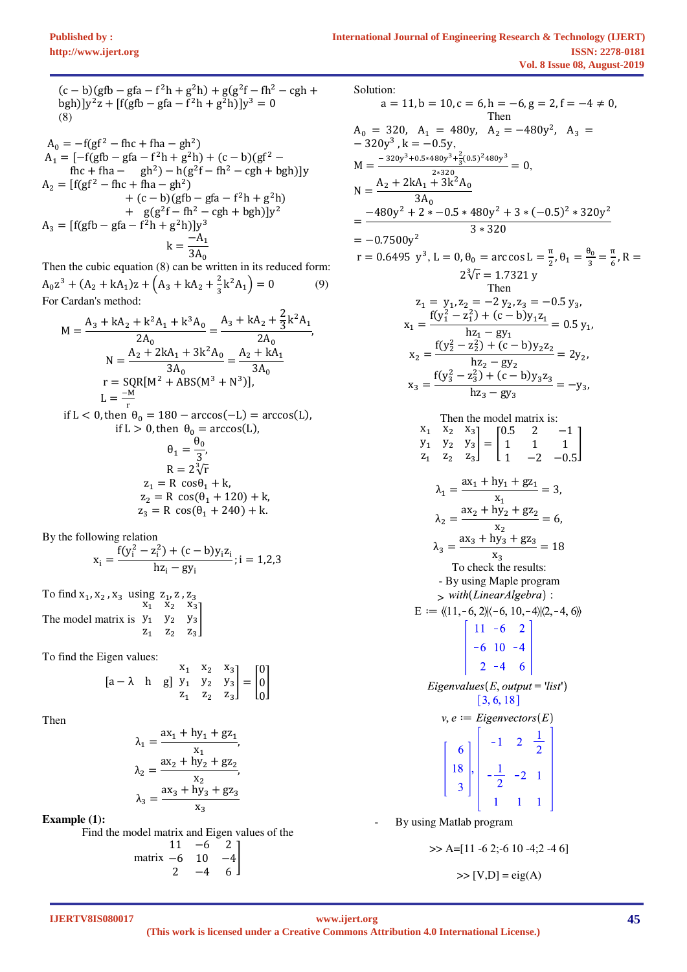$M$ 

 $(c - b)(gfb - gfa - f^2h + g^2h) + g(g^2f - fh^2 - cgh + g^2h)$  $bgh$ )] $y^2z + [f(gfb - gfa - f^2h + g^2h)]y^3 = 0$ (8)

$$
A_0 = -f(gf^2 - fhc + fha - gh^2)
$$
  
\n
$$
A_1 = [-f(gh - gfa - f^2h + g^2h) + (c - b)(gf^2 - fhc + fha - gh^2) - h(g^2f - fh^2 - cgh + bgh)]y
$$
  
\n
$$
A_2 = [f(gf^2 - fhc + fha - gh^2) + (c - b)(gfb - gfa - f^2h + g^2h) + g(g^2f - fh^2 - cgh + bgh)]y^2
$$
  
\n
$$
A_3 = [f(gh - gfa - f^2h + g^2h)]y^3
$$
  
\n
$$
k = \frac{-A_1}{3A_0}
$$

Then the cubic equation (8) can be written in its reduced form:  $A_0 z^3 + (A_2 + kA_1) z + (A_3 + kA_2 + \frac{2}{3})$  $\frac{2}{3}k^2A_1$  = 0 (9) For Cardan's method:  $\overline{2}$ 

$$
M = \frac{A_3 + kA_2 + k^2A_1 + k^3A_0}{2A_0} = \frac{A_3 + kA_2 + \frac{2}{3}k^2A_1}{2A_0},
$$
  
\n
$$
N = \frac{A_2 + 2kA_1 + 3k^2A_0}{3A_0} = \frac{A_2 + kA_1}{3A_0}
$$
  
\n
$$
r = SQR[M^2 + ABS(M^3 + N^3)],
$$
  
\n
$$
L = \frac{-M}{n} = 6Q
$$

if L < 0, then  $\theta_0 = 180 - \arccos(-L) = \arccos(L)$ , if  $L > 0$ , then  $\theta_0 = \arccos(L)$ ,  $\theta_1 = \frac{\theta_0}{3}$  $\frac{1}{3}$  $R = 2\sqrt[3]{r}$  $z_1 = R \cos\theta_1 + k$ ,  $z_2 = R \cos(\theta_1 + 120) + k$ ,  $z_3 = R \cos(\theta_1 + 240) + k.$ 

By the following relation

$$
x_i = \frac{f(y_i^2 - z_i^2) + (c - b)y_i z_i}{hz_i - gy_i}; i = 1,2,3
$$

To find  $x_1, x_2, x_3$  using  $z_1, z_1, z_2$ The model matrix is  $x_1$   $x_2$   $x_3$  $y_1$   $y_2$   $y_3$  $z_1$   $z_2$   $z_3$ |<br>|

To find the Eigen values:

$$
\begin{bmatrix} a - \lambda & h & g \end{bmatrix} \begin{bmatrix} x_1 & x_2 & x_3 \\ y_1 & y_2 & y_3 \\ z_1 & z_2 & z_3 \end{bmatrix} = \begin{bmatrix} 0 \\ 0 \\ 0 \end{bmatrix}
$$

Then

$$
\lambda_1 = \frac{ax_1 + hy_1 + gz_1}{x_1},
$$
  
\n
$$
\lambda_2 = \frac{ax_2 + hy_2 + gz_2}{x_2},
$$
  
\n
$$
\lambda_3 = \frac{ax_3 + hy_3 + gz_3}{x_3}
$$

**Example (1):** 

Find the model matrix and Eigen values of the matrix −6 10 −4  $\begin{bmatrix} 11 & -6 & 2 \\ -6 & 10 & -4 \end{bmatrix}$  $2 -4 6$ |<br>|

Solution:  
\na = 11, b = 10, c = 6, h = -6, g = 2, f = -4 \ne 0,  
\nThen  
\n
$$
A_0 = 320
$$
,  $A_1 = 480y$ ,  $A_2 = -480y^2$ ,  $A_3 = -320y^3$ ,  $k = -0.5y$ ,  
\n $M = \frac{-320y^3 + 6.5480y^3 + \frac{2}{3}(0.5)^2 + 80y^3}{3A_0} = 0$ ,  
\n $N = \frac{A_2 + 2kA_1 + 3k^2A_0}{3A_0}$   
\n $= \frac{-480y^2 + 2 * -0.5 * 480y^2 + 3 * (-0.5)^2 * 320y^2}{3 * 320}$   
\n $= -0.7500y^2$   
\n $r = 0.6495 y^3$ ,  $L = 0$ ,  $\theta_0 = \arccos L = \frac{\pi}{2}$ ,  $\theta_1 = \frac{\theta_0}{3} = \frac{\pi}{6}$ ,  $R = 2\sqrt[3]{r} = 1.7321y$   
\nThen  
\n $z_1 = y_1$ ,  $z_2 = -2 y_2$ ,  $z_3 = -0.5 y_3$ ,  
\n $x_1 = \frac{f(y_1^2 - z_1^2) + (c - b)y_1z_1}{h z_1 - g y_1} = 0.5 y_1$ ,  
\n $x_2 = \frac{f(y_2^2 - z_3^2) + (c - b)y_2z_2}{h z_2 - g y_2} = 2y_2$ ,  
\n $x_3 = \frac{f(y_3^2 - z_3^2) + (c - b)y_3z_3}{h z_1 - g y_3} = -y_3$ ,  
\nThen the model matrix is:  
\n $y_1$ ,  $y_2$ ,  $y_3$  =  $\begin{bmatrix} 0.5 & 2 & -1 \\ 1 & 1 & 1 \\ 2 & 1 & -2 & -0.5 \end{bmatrix}$   
\n $\lambda_1 = \frac{ax_1 + hy_1 + gz_1}{x_1 - z_2 - 0.5}$   
\n $\lambda_2 = \frac{ax_2 + hy$ 

>> A=[11 -6 2;-6 10 -4;2 -4 6] >> [V,D] = eig(A)

**IJERTV8IS080017**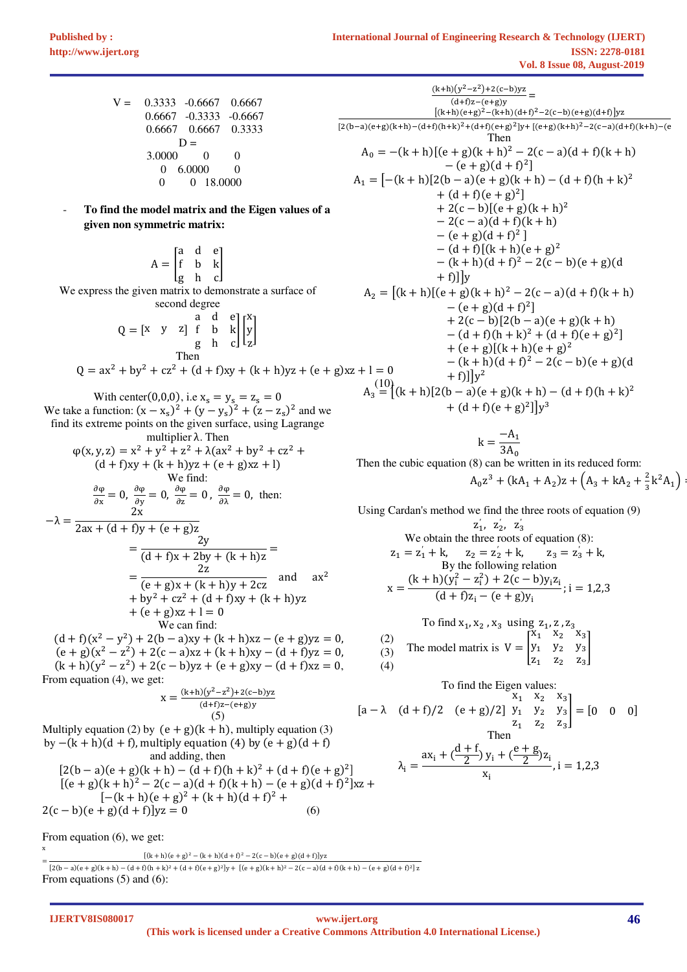- $V = 0.3333 0.6667 0.6667$  0.6667 -0.3333 -0.6667 0.6667 0.6667 0.3333  $D =$  3.0000 0 0  $\begin{pmatrix} 0 & 6.0000 & 0 \\ 0 & 0 & 18.0000 \end{pmatrix}$ 0 0 18.0000
- **To find the model matrix and the Eigen values of a given non symmetric matrix:**

 $A = \begin{bmatrix} a & d & e \\ f & b & k \end{bmatrix}$ ade<br>fbk<br>ghc We express the given matrix to demonstrate a surface of second degree  $Q = \begin{bmatrix} x & y & z \end{bmatrix}$ a d e f b k  $\left.\begin{array}{ccc} a & d & e \\ f & b & k \\ g & h & c \end{array}\right|\left.\begin{array}{c} x \\ y \\ z \end{array}\right|$ y -

$$
Q = ax^{2} + by^{2} + cz^{2} + (d + f)xy + (k + h)yz + (e + g)x
$$

With center(0,0,0), i.e  $x_s = y_s = z_s = 0$ We take a function:  $(x - x_s)^2 + (y - y_s)^2 + (z - z_s)^2$  and we find its extreme points on the given surface, using Lagrange multiplier λ. Then  $\varphi(x, y, z) = x^2 + y^2 + z^2 + \lambda (ax^2 + by^2 + cz^2 + z^2)$  $(d + f)xy + (k + h)yz + (e + g)xz + 1$ We find: dφ  $\frac{\partial \varphi}{\partial x} = 0$ ,  $\frac{\partial \varphi}{\partial y} = 0$ ,  $\frac{\partial \varphi}{\partial z} = 0$ ,  $\frac{\partial \varphi}{\partial \lambda} = 0$ , then:  $-\lambda =$ 2x  $2ax + (d + f)y + (e + g)z$  $=\frac{2y}{(d + f)x + 2bx}$  $\frac{1}{(d + f)x + 2by + (k + h)z}$ 

$$
= \frac{2z}{(e+g)x + (k+h)y + 2cz} \text{ and } ax2
$$
  
+ by<sup>2</sup> + cz<sup>2</sup> + (d + f)xy + (k + h)yz  
+ (e + g)xz + 1 = 0  
We can find:  
(d + f)(x<sup>2</sup> - y<sup>2</sup>) + 2(b - a)xy + (k + h)xz - (e + g)yz = 0, (2)  
(e + g)(x<sup>2</sup> - z<sup>2</sup>) + 2(c - a)xz + (k + h)xy - (d + f)yz = 0, (3)

 $(k+h)(y^2 - z^2) + 2(c - b)yz + (e + g)xy - (d + f)xz = 0,$  (4) From equation (4), we get:

$$
x = \frac{(k+h)(y^2 - z^2) + 2(c - b)yz}{(d + f)z - (e + g)y}
$$
  
(5)

= (22b − a32e + g32k + h3 − 2d + f32h + k3 . + 2d + f32e + g3 .+y + (2e + g32k + h3 . − 22c − a32d + f32k + h3 − 2e + g32d + f3 .+ z  $[(k+h)(e+g)^{2} - (k+h)(d+f)^{2} - 2(c-b)(e+g)(d+f)]yz$ 

Multiply equation (2) by  $(e + g)(k + h)$ , multiply equation (3) by  $-(k + h)(d + f)$ , multiply equation (4) by  $(e + g)(d + f)$ and adding, then  $[2(b-a)(e+g)(k+h) - (d+f)(h+k)^{2} + (d+f)(e+g)^{2}]$  $[(e+g)(k+h)^{2} - 2(c-a)(d+f)(k+h) - (e+g)(d+f)^{2}]xz +$  $[-(k+h)(e+g)^2 + (k+h)(d+f)^2 +$  $2(c - b)(e + g)(d + f)]yz = 0$  (6)

From equation (6), we get:

From equations (5) and (6):

$$
\frac{(k+h)(y^2-z^2)+2(c-b)yz}{(d+f)(2-(k+h)(d+f)^2-(k+h)(d+f)^2-2(c-b)(e+g)(d+f)]yz}
$$
\n
$$
\frac{[(k+h)(e+g)^2-(k+h)(d+f)^2-2(c-b)(e+g)(d+f)]yz}{(2(b-a)(e+g)(k+h)-(d+f)(h+k)^2+(d+f)(e+g)^2]y+[(e+g)(k+h)^2-2(c-a)(d+f)(k+h)-(e+g)(d+f)^2]
$$
\n
$$
A_1 = [-(k+h)[2(b-a)(e+g)(k+h)-(d+f)(h+k)^2 + (d+f)(e+g)^2] + 2(c-b)[(e+g)(k+h)^2 - 2(c-a)(d+f)(k+h) - (e+g)(d+f)^2] - (d+f)[(k+h)(e+g)^2 - (k+h)(d+f)^2-2(c-b)(e+g)(d+f)]y
$$
\n
$$
A_2 = [(k+h)[(e+g)(k+h)^2-2(c-a)(d+f)(k+h) - (e+g)(d+f)^2] + 2(c-b)[2(b-a)(e+g)(k+h) - (d+f)(h+k)^2 + (d+f)(e+g)^2] + 2(c-b)[2(b-a)(e+g)(k+h) - (d+f)(h+k)^2 + (d+f)(e+g)^2] + (e+g)[(k+h)(e+g)^2 - (k+h)(d+f)^2 - 2(c-b)(e+g)(d+f)(k+f)(e+g)^2]
$$
\n
$$
x_3 = [(k+h)[2(b-a)(e+g)(k+h) - (d+f)(h+k)^2 + (d+f)(e+g)^2] + (d+f)(e+g)^2]y^3
$$

$$
k = \frac{-A_1}{3A_0}
$$

Then the cubic equation (8) can be written in its reduced form:

$$
A_0 z^3 + (kA_1 + A_2)z + (A_3 + kA_2 + \frac{2}{3}k^2A_1) =
$$

Using Cardan's method we find the three roots of equation (9)

$$
z_1, z_2, z_3'
$$
  
We obtain the three roots of equation (8):  

$$
z_1 = z_1' + k, z_2 = z_2' + k, z_3 = z_3' + k,
$$
  
By the following relation  

$$
x = \frac{(k + h)(y_1^2 - z_1^2) + 2(c - b)y_1z_1}{(d + f)z_1 - (e + g)y_1}; i = 1,2,3
$$

To find x<sub>1</sub>, x<sub>2</sub>, x<sub>3</sub> using z<sub>1</sub>, z, z<sub>3</sub>  
\n2)  
\n3) The model matrix is 
$$
V = \begin{bmatrix} x_1 & x_2 & x_3 \ y_1 & y_2 & y_3 \ z_1 & z_2 & z_3 \end{bmatrix}
$$

To find the Eigen values:  
\n
$$
[a - \lambda (d + f)/2 (e + g)/2] \t y_1 \t y_2 \t y_3
$$
\n
$$
[a - \lambda (d + f)/2 (e + g)/2] \t y_1 \t y_2 \t y_3
$$
\nThen  
\n
$$
\lambda_i = \frac{ax_i + (\frac{d + f}{2})y_i + (\frac{e + g}{2})z_i}{x_i}, i = 1,2,3
$$

**IJERTV8IS080017**

x